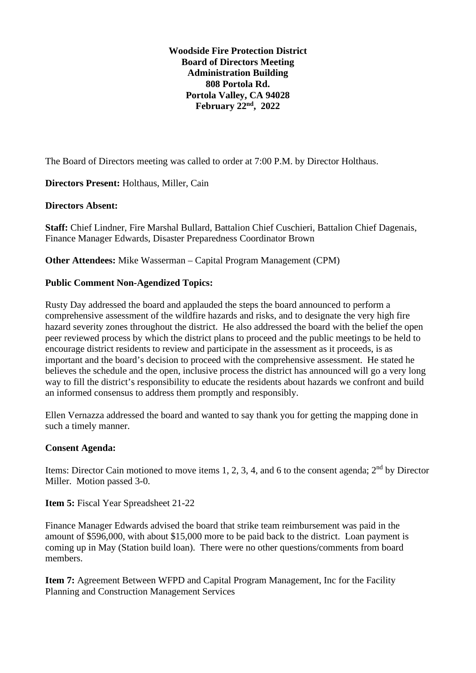**Woodside Fire Protection District Board of Directors Meeting Administration Building 808 Portola Rd. Portola Valley, CA 94028 February 22nd, 2022**

The Board of Directors meeting was called to order at 7:00 P.M. by Director Holthaus.

**Directors Present:** Holthaus, Miller, Cain

#### **Directors Absent:**

**Staff:** Chief Lindner, Fire Marshal Bullard, Battalion Chief Cuschieri, Battalion Chief Dagenais, Finance Manager Edwards, Disaster Preparedness Coordinator Brown

**Other Attendees:** Mike Wasserman – Capital Program Management (CPM)

#### **Public Comment Non-Agendized Topics:**

Rusty Day addressed the board and applauded the steps the board announced to perform a comprehensive assessment of the wildfire hazards and risks, and to designate the very high fire hazard severity zones throughout the district. He also addressed the board with the belief the open peer reviewed process by which the district plans to proceed and the public meetings to be held to encourage district residents to review and participate in the assessment as it proceeds, is as important and the board's decision to proceed with the comprehensive assessment. He stated he believes the schedule and the open, inclusive process the district has announced will go a very long way to fill the district's responsibility to educate the residents about hazards we confront and build an informed consensus to address them promptly and responsibly.

Ellen Vernazza addressed the board and wanted to say thank you for getting the mapping done in such a timely manner.

### **Consent Agenda:**

Items: Director Cain motioned to move items 1, 2, 3, 4, and 6 to the consent agenda;  $2<sup>nd</sup>$  by Director Miller. Motion passed 3-0.

**Item 5:** Fiscal Year Spreadsheet 21-22

Finance Manager Edwards advised the board that strike team reimbursement was paid in the amount of \$596,000, with about \$15,000 more to be paid back to the district. Loan payment is coming up in May (Station build loan). There were no other questions/comments from board members.

**Item 7:** Agreement Between WFPD and Capital Program Management, Inc for the Facility Planning and Construction Management Services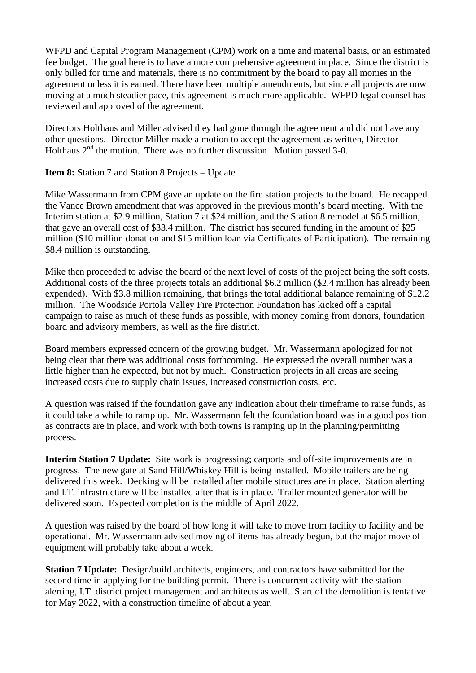WFPD and Capital Program Management (CPM) work on a time and material basis, or an estimated fee budget. The goal here is to have a more comprehensive agreement in place. Since the district is only billed for time and materials, there is no commitment by the board to pay all monies in the agreement unless it is earned. There have been multiple amendments, but since all projects are now moving at a much steadier pace, this agreement is much more applicable. WFPD legal counsel has reviewed and approved of the agreement.

Directors Holthaus and Miller advised they had gone through the agreement and did not have any other questions. Director Miller made a motion to accept the agreement as written, Director Holthaus  $2<sup>nd</sup>$  the motion. There was no further discussion. Motion passed 3-0.

**Item 8:** Station 7 and Station 8 Projects – Update

Mike Wassermann from CPM gave an update on the fire station projects to the board. He recapped the Vance Brown amendment that was approved in the previous month's board meeting. With the Interim station at \$2.9 million, Station 7 at \$24 million, and the Station 8 remodel at \$6.5 million, that gave an overall cost of \$33.4 million. The district has secured funding in the amount of \$25 million (\$10 million donation and \$15 million loan via Certificates of Participation). The remaining \$8.4 million is outstanding.

Mike then proceeded to advise the board of the next level of costs of the project being the soft costs. Additional costs of the three projects totals an additional \$6.2 million (\$2.4 million has already been expended). With \$3.8 million remaining, that brings the total additional balance remaining of \$12.2 million. The Woodside Portola Valley Fire Protection Foundation has kicked off a capital campaign to raise as much of these funds as possible, with money coming from donors, foundation board and advisory members, as well as the fire district.

Board members expressed concern of the growing budget. Mr. Wassermann apologized for not being clear that there was additional costs forthcoming. He expressed the overall number was a little higher than he expected, but not by much. Construction projects in all areas are seeing increased costs due to supply chain issues, increased construction costs, etc.

A question was raised if the foundation gave any indication about their timeframe to raise funds, as it could take a while to ramp up. Mr. Wassermann felt the foundation board was in a good position as contracts are in place, and work with both towns is ramping up in the planning/permitting process.

**Interim Station 7 Update:** Site work is progressing; carports and off-site improvements are in progress. The new gate at Sand Hill/Whiskey Hill is being installed. Mobile trailers are being delivered this week. Decking will be installed after mobile structures are in place. Station alerting and I.T. infrastructure will be installed after that is in place. Trailer mounted generator will be delivered soon. Expected completion is the middle of April 2022.

A question was raised by the board of how long it will take to move from facility to facility and be operational. Mr. Wassermann advised moving of items has already begun, but the major move of equipment will probably take about a week.

**Station 7 Update:** Design/build architects, engineers, and contractors have submitted for the second time in applying for the building permit. There is concurrent activity with the station alerting, I.T. district project management and architects as well. Start of the demolition is tentative for May 2022, with a construction timeline of about a year.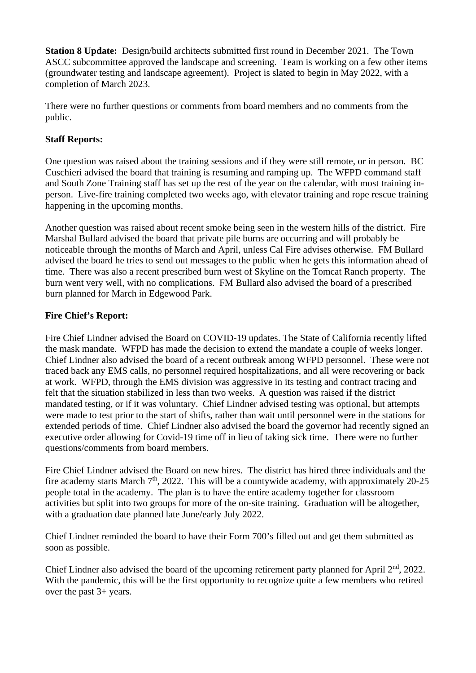**Station 8 Update:** Design/build architects submitted first round in December 2021. The Town ASCC subcommittee approved the landscape and screening. Team is working on a few other items (groundwater testing and landscape agreement). Project is slated to begin in May 2022, with a completion of March 2023.

There were no further questions or comments from board members and no comments from the public.

# **Staff Reports:**

One question was raised about the training sessions and if they were still remote, or in person. BC Cuschieri advised the board that training is resuming and ramping up. The WFPD command staff and South Zone Training staff has set up the rest of the year on the calendar, with most training inperson. Live-fire training completed two weeks ago, with elevator training and rope rescue training happening in the upcoming months.

Another question was raised about recent smoke being seen in the western hills of the district. Fire Marshal Bullard advised the board that private pile burns are occurring and will probably be noticeable through the months of March and April, unless Cal Fire advises otherwise. FM Bullard advised the board he tries to send out messages to the public when he gets this information ahead of time. There was also a recent prescribed burn west of Skyline on the Tomcat Ranch property. The burn went very well, with no complications. FM Bullard also advised the board of a prescribed burn planned for March in Edgewood Park.

# **Fire Chief's Report:**

Fire Chief Lindner advised the Board on COVID-19 updates. The State of California recently lifted the mask mandate. WFPD has made the decision to extend the mandate a couple of weeks longer. Chief Lindner also advised the board of a recent outbreak among WFPD personnel. These were not traced back any EMS calls, no personnel required hospitalizations, and all were recovering or back at work. WFPD, through the EMS division was aggressive in its testing and contract tracing and felt that the situation stabilized in less than two weeks. A question was raised if the district mandated testing, or if it was voluntary. Chief Lindner advised testing was optional, but attempts were made to test prior to the start of shifts, rather than wait until personnel were in the stations for extended periods of time. Chief Lindner also advised the board the governor had recently signed an executive order allowing for Covid-19 time off in lieu of taking sick time. There were no further questions/comments from board members.

Fire Chief Lindner advised the Board on new hires. The district has hired three individuals and the fire academy starts March  $7<sup>th</sup>$ , 2022. This will be a countywide academy, with approximately 20-25 people total in the academy. The plan is to have the entire academy together for classroom activities but split into two groups for more of the on-site training. Graduation will be altogether, with a graduation date planned late June/early July 2022.

Chief Lindner reminded the board to have their Form 700's filled out and get them submitted as soon as possible.

Chief Lindner also advised the board of the upcoming retirement party planned for April 2<sup>nd</sup>, 2022. With the pandemic, this will be the first opportunity to recognize quite a few members who retired over the past 3+ years.